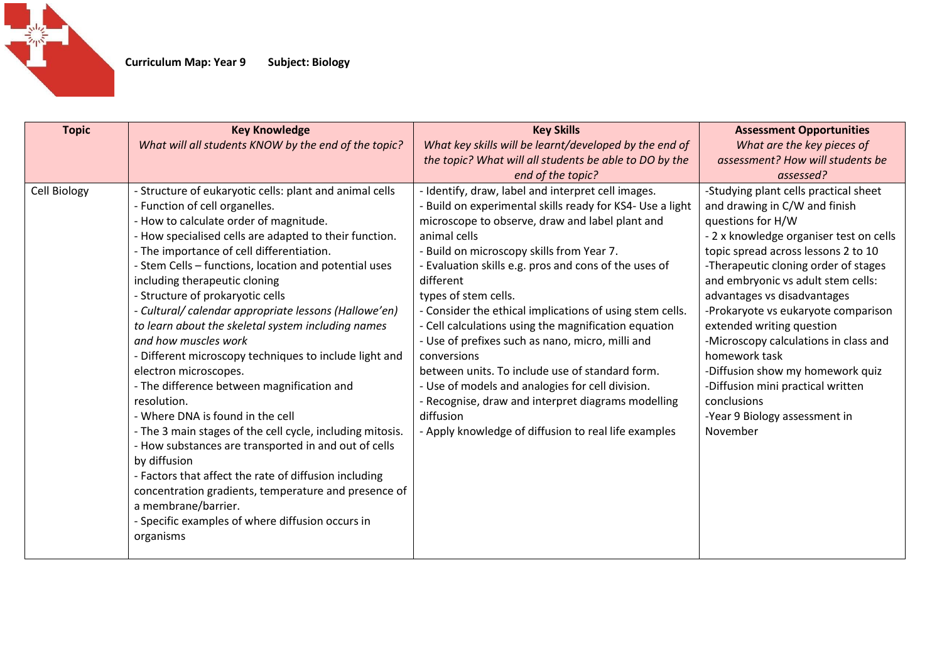

| <b>Topic</b> | <b>Key Knowledge</b><br>What will all students KNOW by the end of the topic?                                                                                                                                                                                                                                                                                                                                                                                                                                                                                                                                                                                                                                                                                                                                                                                                                                                                                                                                                                      | <b>Key Skills</b><br>What key skills will be learnt/developed by the end of                                                                                                                                                                                                                                                                                                                                                                                                                                                                                                                                                                                                                                                                            | <b>Assessment Opportunities</b><br>What are the key pieces of                                                                                                                                                                                                                                                                                                                                                                                                                                                                                                 |
|--------------|---------------------------------------------------------------------------------------------------------------------------------------------------------------------------------------------------------------------------------------------------------------------------------------------------------------------------------------------------------------------------------------------------------------------------------------------------------------------------------------------------------------------------------------------------------------------------------------------------------------------------------------------------------------------------------------------------------------------------------------------------------------------------------------------------------------------------------------------------------------------------------------------------------------------------------------------------------------------------------------------------------------------------------------------------|--------------------------------------------------------------------------------------------------------------------------------------------------------------------------------------------------------------------------------------------------------------------------------------------------------------------------------------------------------------------------------------------------------------------------------------------------------------------------------------------------------------------------------------------------------------------------------------------------------------------------------------------------------------------------------------------------------------------------------------------------------|---------------------------------------------------------------------------------------------------------------------------------------------------------------------------------------------------------------------------------------------------------------------------------------------------------------------------------------------------------------------------------------------------------------------------------------------------------------------------------------------------------------------------------------------------------------|
|              |                                                                                                                                                                                                                                                                                                                                                                                                                                                                                                                                                                                                                                                                                                                                                                                                                                                                                                                                                                                                                                                   | the topic? What will all students be able to DO by the                                                                                                                                                                                                                                                                                                                                                                                                                                                                                                                                                                                                                                                                                                 | assessment? How will students be                                                                                                                                                                                                                                                                                                                                                                                                                                                                                                                              |
|              |                                                                                                                                                                                                                                                                                                                                                                                                                                                                                                                                                                                                                                                                                                                                                                                                                                                                                                                                                                                                                                                   | end of the topic?                                                                                                                                                                                                                                                                                                                                                                                                                                                                                                                                                                                                                                                                                                                                      | assessed?                                                                                                                                                                                                                                                                                                                                                                                                                                                                                                                                                     |
| Cell Biology | - Structure of eukaryotic cells: plant and animal cells<br>- Function of cell organelles.<br>- How to calculate order of magnitude.<br>- How specialised cells are adapted to their function.<br>- The importance of cell differentiation.<br>- Stem Cells - functions, location and potential uses<br>including therapeutic cloning<br>- Structure of prokaryotic cells<br>- Cultural/ calendar appropriate lessons (Hallowe'en)<br>to learn about the skeletal system including names<br>and how muscles work<br>- Different microscopy techniques to include light and<br>electron microscopes.<br>- The difference between magnification and<br>resolution.<br>- Where DNA is found in the cell<br>- The 3 main stages of the cell cycle, including mitosis.<br>- How substances are transported in and out of cells<br>by diffusion<br>- Factors that affect the rate of diffusion including<br>concentration gradients, temperature and presence of<br>a membrane/barrier.<br>- Specific examples of where diffusion occurs in<br>organisms | - Identify, draw, label and interpret cell images.<br>- Build on experimental skills ready for KS4- Use a light<br>microscope to observe, draw and label plant and<br>animal cells<br>- Build on microscopy skills from Year 7.<br>- Evaluation skills e.g. pros and cons of the uses of<br>different<br>types of stem cells.<br>- Consider the ethical implications of using stem cells.<br>- Cell calculations using the magnification equation<br>- Use of prefixes such as nano, micro, milli and<br>conversions<br>between units. To include use of standard form.<br>- Use of models and analogies for cell division.<br>- Recognise, draw and interpret diagrams modelling<br>diffusion<br>- Apply knowledge of diffusion to real life examples | -Studying plant cells practical sheet<br>and drawing in C/W and finish<br>questions for H/W<br>- 2 x knowledge organiser test on cells<br>topic spread across lessons 2 to 10<br>-Therapeutic cloning order of stages<br>and embryonic vs adult stem cells:<br>advantages vs disadvantages<br>-Prokaryote vs eukaryote comparison<br>extended writing question<br>-Microscopy calculations in class and<br>homework task<br>-Diffusion show my homework quiz<br>-Diffusion mini practical written<br>conclusions<br>-Year 9 Biology assessment in<br>November |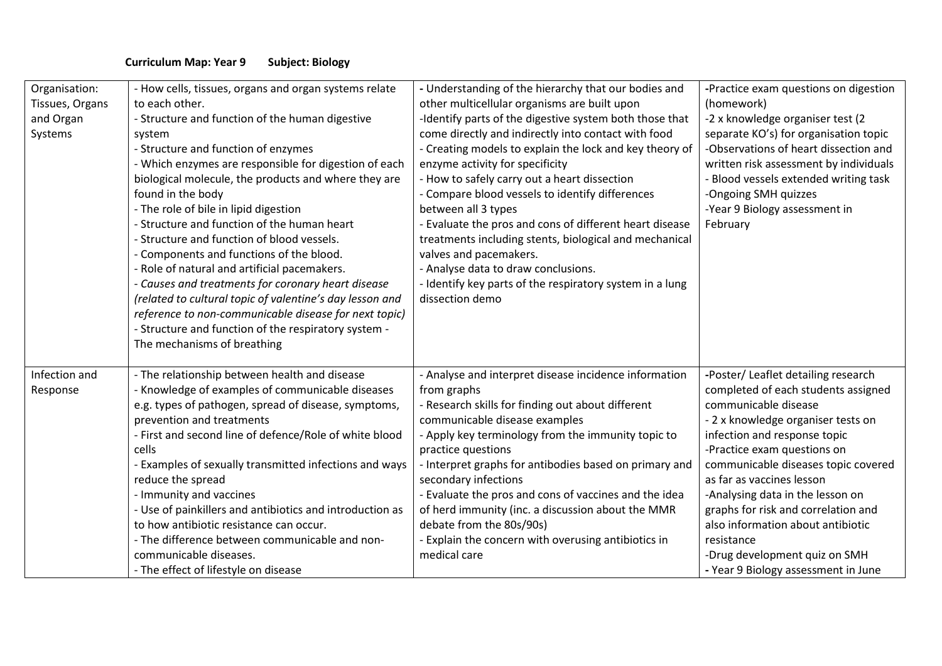## **Curriculum Map: Year 9 Subject: Biology**

| Organisation:<br>Tissues, Organs<br>and Organ<br>Systems | - How cells, tissues, organs and organ systems relate<br>to each other.<br>- Structure and function of the human digestive<br>system<br>- Structure and function of enzymes<br>- Which enzymes are responsible for digestion of each<br>biological molecule, the products and where they are<br>found in the body<br>- The role of bile in lipid digestion<br>- Structure and function of the human heart<br>- Structure and function of blood vessels.<br>- Components and functions of the blood.<br>- Role of natural and artificial pacemakers.<br>- Causes and treatments for coronary heart disease<br>(related to cultural topic of valentine's day lesson and<br>reference to non-communicable disease for next topic)<br>- Structure and function of the respiratory system -<br>The mechanisms of breathing | - Understanding of the hierarchy that our bodies and<br>other multicellular organisms are built upon<br>-Identify parts of the digestive system both those that<br>come directly and indirectly into contact with food<br>- Creating models to explain the lock and key theory of<br>enzyme activity for specificity<br>- How to safely carry out a heart dissection<br>- Compare blood vessels to identify differences<br>between all 3 types<br>- Evaluate the pros and cons of different heart disease<br>treatments including stents, biological and mechanical<br>valves and pacemakers.<br>- Analyse data to draw conclusions.<br>- Identify key parts of the respiratory system in a lung<br>dissection demo | -Practice exam questions on digestion<br>(homework)<br>-2 x knowledge organiser test (2<br>separate KO's) for organisation topic<br>-Observations of heart dissection and<br>written risk assessment by individuals<br><b>Blood vessels extended writing task</b><br>-Ongoing SMH quizzes<br>-Year 9 Biology assessment in<br>February                                                                                                                                            |
|----------------------------------------------------------|-----------------------------------------------------------------------------------------------------------------------------------------------------------------------------------------------------------------------------------------------------------------------------------------------------------------------------------------------------------------------------------------------------------------------------------------------------------------------------------------------------------------------------------------------------------------------------------------------------------------------------------------------------------------------------------------------------------------------------------------------------------------------------------------------------------------------|---------------------------------------------------------------------------------------------------------------------------------------------------------------------------------------------------------------------------------------------------------------------------------------------------------------------------------------------------------------------------------------------------------------------------------------------------------------------------------------------------------------------------------------------------------------------------------------------------------------------------------------------------------------------------------------------------------------------|-----------------------------------------------------------------------------------------------------------------------------------------------------------------------------------------------------------------------------------------------------------------------------------------------------------------------------------------------------------------------------------------------------------------------------------------------------------------------------------|
| Infection and<br>Response                                | - The relationship between health and disease<br>- Knowledge of examples of communicable diseases<br>e.g. types of pathogen, spread of disease, symptoms,<br>prevention and treatments<br>- First and second line of defence/Role of white blood<br>cells<br>- Examples of sexually transmitted infections and ways<br>reduce the spread<br>- Immunity and vaccines<br>- Use of painkillers and antibiotics and introduction as<br>to how antibiotic resistance can occur.<br>- The difference between communicable and non-<br>communicable diseases.<br>- The effect of lifestyle on disease                                                                                                                                                                                                                        | - Analyse and interpret disease incidence information<br>from graphs<br>- Research skills for finding out about different<br>communicable disease examples<br>- Apply key terminology from the immunity topic to<br>practice questions<br>- Interpret graphs for antibodies based on primary and<br>secondary infections<br>- Evaluate the pros and cons of vaccines and the idea<br>of herd immunity (inc. a discussion about the MMR<br>debate from the 80s/90s)<br>- Explain the concern with overusing antibiotics in<br>medical care                                                                                                                                                                           | -Poster/ Leaflet detailing research<br>completed of each students assigned<br>communicable disease<br>- 2 x knowledge organiser tests on<br>infection and response topic<br>-Practice exam questions on<br>communicable diseases topic covered<br>as far as vaccines lesson<br>-Analysing data in the lesson on<br>graphs for risk and correlation and<br>also information about antibiotic<br>resistance<br>-Drug development quiz on SMH<br>- Year 9 Biology assessment in June |